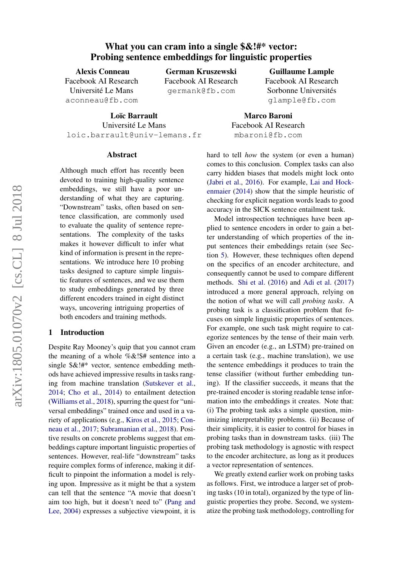# What you can cram into a single  $\&$ !#\* vector: Probing sentence embeddings for linguistic properties

Alexis Conneau Facebook AI Research Université Le Mans aconneau@fb.com

German Kruszewski Facebook AI Research germank@fb.com

Loïc Barrault Université Le Mans loic.barrault@univ-lemans.fr

#### Abstract

Although much effort has recently been devoted to training high-quality sentence embeddings, we still have a poor understanding of what they are capturing. "Downstream" tasks, often based on sentence classification, are commonly used to evaluate the quality of sentence representations. The complexity of the tasks makes it however difficult to infer what kind of information is present in the representations. We introduce here 10 probing tasks designed to capture simple linguistic features of sentences, and we use them to study embeddings generated by three different encoders trained in eight distinct ways, uncovering intriguing properties of both encoders and training methods.

### 1 Introduction

Despite Ray Mooney's quip that you cannot cram the meaning of a whole %&!\$# sentence into a single \$&!#\* vector, sentence embedding methods have achieved impressive results in tasks ranging from machine translation [\(Sutskever et al.,](#page-10-0) [2014;](#page-10-0) [Cho et al.,](#page-9-0) [2014\)](#page-9-0) to entailment detection [\(Williams et al.,](#page-10-1) [2018\)](#page-10-1), spurring the quest for "universal embeddings" trained once and used in a variety of applications (e.g., [Kiros et al.,](#page-9-1) [2015;](#page-9-1) [Con](#page-9-2)[neau et al.,](#page-9-2) [2017;](#page-9-2) [Subramanian et al.,](#page-10-2) [2018\)](#page-10-2). Positive results on concrete problems suggest that embeddings capture important linguistic properties of sentences. However, real-life "downstream" tasks require complex forms of inference, making it difficult to pinpoint the information a model is relying upon. Impressive as it might be that a system can tell that the sentence "A movie that doesn't aim too high, but it doesn't need to" [\(Pang and](#page-10-3) [Lee,](#page-10-3) [2004\)](#page-10-3) expresses a subjective viewpoint, it is

hard to tell *how* the system (or even a human) comes to this conclusion. Complex tasks can also carry hidden biases that models might lock onto [\(Jabri et al.,](#page-9-3) [2016\)](#page-9-3). For example, [Lai and Hock](#page-9-4)[enmaier](#page-9-4) [\(2014\)](#page-9-4) show that the simple heuristic of checking for explicit negation words leads to good accuracy in the SICK sentence entailment task.

Marco Baroni Facebook AI Research mbaroni@fb.com

Model introspection techniques have been applied to sentence encoders in order to gain a better understanding of which properties of the input sentences their embeddings retain (see Section [5\)](#page-7-0). However, these techniques often depend on the specifics of an encoder architecture, and consequently cannot be used to compare different methods. [Shi et al.](#page-10-4) [\(2016\)](#page-10-4) and [Adi et al.](#page-8-0) [\(2017\)](#page-8-0) introduced a more general approach, relying on the notion of what we will call *probing tasks*. A probing task is a classification problem that focuses on simple linguistic properties of sentences. For example, one such task might require to categorize sentences by the tense of their main verb. Given an encoder (e.g., an LSTM) pre-trained on a certain task (e.g., machine translation), we use the sentence embeddings it produces to train the tense classifier (without further embedding tuning). If the classifier succeeds, it means that the pre-trained encoder is storing readable tense information into the embeddings it creates. Note that: (i) The probing task asks a simple question, minimizing interpretability problems. (ii) Because of their simplicity, it is easier to control for biases in probing tasks than in downstream tasks. (iii) The probing task methodology is agnostic with respect to the encoder architecture, as long as it produces a vector representation of sentences.

We greatly extend earlier work on probing tasks as follows. First, we introduce a larger set of probing tasks (10 in total), organized by the type of linguistic properties they probe. Second, we systematize the probing task methodology, controlling for

#### Guillaume Lample

Facebook AI Research Sorbonne Universités glample@fb.com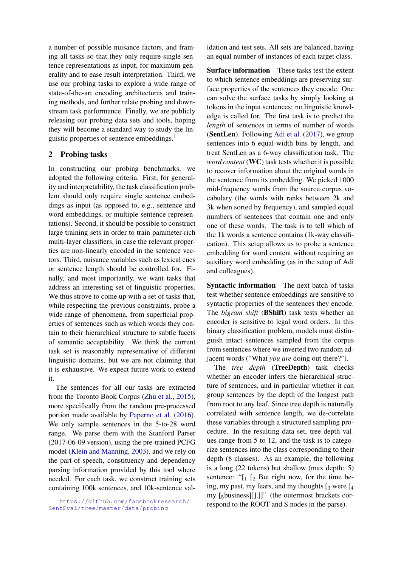a number of possible nuisance factors, and framing all tasks so that they only require single sentence representations as input, for maximum generality and to ease result interpretation. Third, we use our probing tasks to explore a wide range of state-of-the-art encoding architectures and training methods, and further relate probing and downstream task performance. Finally, we are publicly releasing our probing data sets and tools, hoping they will become a standard way to study the linguistic properties of sentence embeddings.[1](#page-1-0)

# 2 Probing tasks

In constructing our probing benchmarks, we adopted the following criteria. First, for generality and interpretability, the task classification problem should only require single sentence embeddings as input (as opposed to, e.g., sentence and word embeddings, or multiple sentence representations). Second, it should be possible to construct large training sets in order to train parameter-rich multi-layer classifiers, in case the relevant properties are non-linearly encoded in the sentence vectors. Third, nuisance variables such as lexical cues or sentence length should be controlled for. Finally, and most importantly, we want tasks that address an interesting set of linguistic properties. We thus strove to come up with a set of tasks that, while respecting the previous constraints, probe a wide range of phenomena, from superficial properties of sentences such as which words they contain to their hierarchical structure to subtle facets of semantic acceptability. We think the current task set is reasonably representative of different linguistic domains, but we are not claiming that it is exhaustive. We expect future work to extend it.

The sentences for all our tasks are extracted from the Toronto Book Corpus [\(Zhu et al.,](#page-10-5) [2015\)](#page-10-5), more specifically from the random pre-processed portion made available by [Paperno et al.](#page-10-6) [\(2016\)](#page-10-6). We only sample sentences in the 5-to-28 word range. We parse them with the Stanford Parser (2017-06-09 version), using the pre-trained PCFG model [\(Klein and Manning,](#page-9-5) [2003\)](#page-9-5), and we rely on the part-of-speech, constituency and dependency parsing information provided by this tool where needed. For each task, we construct training sets containing 100k sentences, and 10k-sentence val-

idation and test sets. All sets are balanced, having an equal number of instances of each target class.

Surface information These tasks test the extent to which sentence embeddings are preserving surface properties of the sentences they encode. One can solve the surface tasks by simply looking at tokens in the input sentences: no linguistic knowledge is called for. The first task is to predict the *length* of sentences in terms of number of words (SentLen). Following [Adi et al.](#page-8-0) [\(2017\)](#page-8-0), we group sentences into 6 equal-width bins by length, and treat SentLen as a 6-way classification task. The *word content* (WC) task tests whether it is possible to recover information about the original words in the sentence from its embedding. We picked 1000 mid-frequency words from the source corpus vocabulary (the words with ranks between 2k and 3k when sorted by frequency), and sampled equal numbers of sentences that contain one and only one of these words. The task is to tell which of the 1k words a sentence contains (1k-way classification). This setup allows us to probe a sentence embedding for word content without requiring an auxiliary word embedding (as in the setup of Adi and colleagues).

Syntactic information The next batch of tasks test whether sentence embeddings are sensitive to syntactic properties of the sentences they encode. The *bigram shift* (BShift) task tests whether an encoder is sensitive to legal word orders. In this binary classification problem, models must distinguish intact sentences sampled from the corpus from sentences where we inverted two random adjacent words ("What *you are* doing out there?").

The *tree depth* (TreeDepth) task checks whether an encoder infers the hierarchical structure of sentences, and in particular whether it can group sentences by the depth of the longest path from root to any leaf. Since tree depth is naturally correlated with sentence length, we de-correlate these variables through a structured sampling procedure. In the resulting data set, tree depth values range from 5 to 12, and the task is to categorize sentences into the class corresponding to their depth (8 classes). As an example, the following is a long (22 tokens) but shallow (max depth: 5) sentence: " $\left[1\right]$  [2 But right now, for the time being, my past, my fears, and my thoughts  $\left[3 \right]$  were  $\left[4 \right]$ my [5business]]].]]" (the outermost brackets correspond to the ROOT and S nodes in the parse).

<span id="page-1-0"></span><sup>1</sup>[https://github.com/facebookresearch/](https://github.com/facebookresearch/SentEval/tree/master/data/probing) [SentEval/tree/master/data/probing](https://github.com/facebookresearch/SentEval/tree/master/data/probing)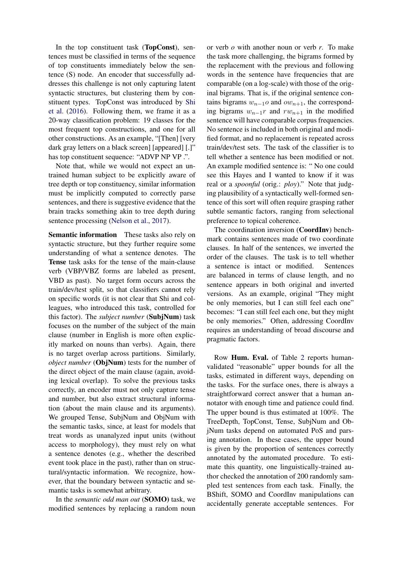In the top constituent task (TopConst), sentences must be classified in terms of the sequence of top constituents immediately below the sentence (S) node. An encoder that successfully addresses this challenge is not only capturing latent syntactic structures, but clustering them by constituent types. TopConst was introduced by [Shi](#page-10-4) [et al.](#page-10-4) [\(2016\)](#page-10-4). Following them, we frame it as a 20-way classification problem: 19 classes for the most frequent top constructions, and one for all other constructions. As an example, "[Then] [very dark gray letters on a black screen] [appeared] [.]" has top constituent sequence: "ADVP NP VP .".

Note that, while we would not expect an untrained human subject to be explicitly aware of tree depth or top constituency, similar information must be implicitly computed to correctly parse sentences, and there is suggestive evidence that the brain tracks something akin to tree depth during sentence processing [\(Nelson et al.,](#page-10-7) [2017\)](#page-10-7).

Semantic information These tasks also rely on syntactic structure, but they further require some understanding of what a sentence denotes. The Tense task asks for the tense of the main-clause verb (VBP/VBZ forms are labeled as present, VBD as past). No target form occurs across the train/dev/test split, so that classifiers cannot rely on specific words (it is not clear that Shi and colleagues, who introduced this task, controlled for this factor). The *subject number* (SubjNum) task focuses on the number of the subject of the main clause (number in English is more often explicitly marked on nouns than verbs). Again, there is no target overlap across partitions. Similarly, *object number* (**ObjNum**) tests for the number of the direct object of the main clause (again, avoiding lexical overlap). To solve the previous tasks correctly, an encoder must not only capture tense and number, but also extract structural information (about the main clause and its arguments). We grouped Tense, SubjNum and ObjNum with the semantic tasks, since, at least for models that treat words as unanalyzed input units (without access to morphology), they must rely on what a sentence denotes (e.g., whether the described event took place in the past), rather than on structural/syntactic information. We recognize, however, that the boundary between syntactic and semantic tasks is somewhat arbitrary.

In the *semantic odd man out* (SOMO) task, we modified sentences by replacing a random noun

or verb *o* with another noun or verb *r*. To make the task more challenging, the bigrams formed by the replacement with the previous and following words in the sentence have frequencies that are comparable (on a log-scale) with those of the original bigrams. That is, if the original sentence contains bigrams  $w_{n-1}$ o and  $ow_{n+1}$ , the corresponding bigrams  $w_{n-1}r$  and  $rw_{n+1}$  in the modified sentence will have comparable corpus frequencies. No sentence is included in both original and modified format, and no replacement is repeated across train/dev/test sets. The task of the classifier is to tell whether a sentence has been modified or not. An example modified sentence is: " No one could see this Hayes and I wanted to know if it was real or a *spoonful* (orig.: *ploy*)." Note that judging plausibility of a syntactically well-formed sentence of this sort will often require grasping rather subtle semantic factors, ranging from selectional preference to topical coherence.

The coordination inversion (CoordInv) benchmark contains sentences made of two coordinate clauses. In half of the sentences, we inverted the order of the clauses. The task is to tell whether a sentence is intact or modified. Sentences are balanced in terms of clause length, and no sentence appears in both original and inverted versions. As an example, original "They might be only memories, but I can still feel each one" becomes: "I can still feel each one, but they might be only memories." Often, addressing CoordInv requires an understanding of broad discourse and pragmatic factors.

Row Hum. Eval. of Table [2](#page-5-0) reports humanvalidated "reasonable" upper bounds for all the tasks, estimated in different ways, depending on the tasks. For the surface ones, there is always a straightforward correct answer that a human annotator with enough time and patience could find. The upper bound is thus estimated at 100%. The TreeDepth, TopConst, Tense, SubjNum and ObjNum tasks depend on automated PoS and parsing annotation. In these cases, the upper bound is given by the proportion of sentences correctly annotated by the automated procedure. To estimate this quantity, one linguistically-trained author checked the annotation of 200 randomly sampled test sentences from each task. Finally, the BShift, SOMO and CoordInv manipulations can accidentally generate acceptable sentences. For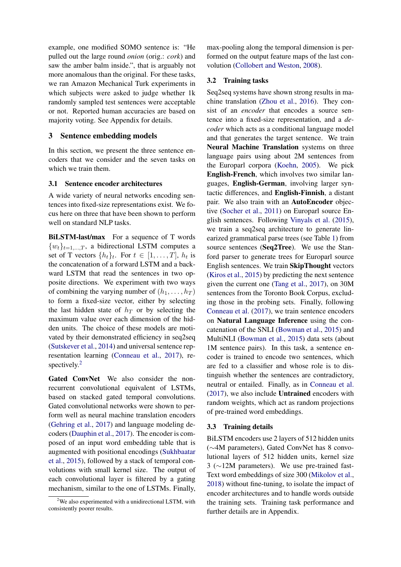example, one modified SOMO sentence is: "He pulled out the large round *onion* (orig.: *cork*) and saw the amber balm inside.", that is arguably not more anomalous than the original. For these tasks, we ran Amazon Mechanical Turk experiments in which subjects were asked to judge whether 1k randomly sampled test sentences were acceptable or not. Reported human accuracies are based on majority voting. See Appendix for details.

# 3 Sentence embedding models

In this section, we present the three sentence encoders that we consider and the seven tasks on which we train them.

### 3.1 Sentence encoder architectures

A wide variety of neural networks encoding sentences into fixed-size representations exist. We focus here on three that have been shown to perform well on standard NLP tasks.

BiLSTM-last/max For a sequence of T words  $\{w_t\}_{t=1,\dots,T}$ , a bidirectional LSTM computes a set of T vectors  $\{h_t\}_t$ . For  $t \in [1, \ldots, T]$ ,  $h_t$  is the concatenation of a forward LSTM and a backward LSTM that read the sentences in two opposite directions. We experiment with two ways of combining the varying number of  $(h_1, \ldots, h_T)$ to form a fixed-size vector, either by selecting the last hidden state of  $h_T$  or by selecting the maximum value over each dimension of the hidden units. The choice of these models are motivated by their demonstrated efficiency in seq2seq [\(Sutskever et al.,](#page-10-0) [2014\)](#page-10-0) and universal sentence representation learning [\(Conneau et al.,](#page-9-2) [2017\)](#page-9-2), re-spectively.<sup>[2](#page-3-0)</sup>

Gated ConvNet We also consider the nonrecurrent convolutional equivalent of LSTMs, based on stacked gated temporal convolutions. Gated convolutional networks were shown to perform well as neural machine translation encoders [\(Gehring et al.,](#page-9-6) [2017\)](#page-9-6) and language modeling decoders [\(Dauphin et al.,](#page-9-7) [2017\)](#page-9-7). The encoder is composed of an input word embedding table that is augmented with positional encodings [\(Sukhbaatar](#page-10-8) [et al.,](#page-10-8) [2015\)](#page-10-8), followed by a stack of temporal convolutions with small kernel size. The output of each convolutional layer is filtered by a gating mechanism, similar to the one of LSTMs. Finally, max-pooling along the temporal dimension is performed on the output feature maps of the last convolution [\(Collobert and Weston,](#page-9-8) [2008\)](#page-9-8).

# 3.2 Training tasks

Seq2seq systems have shown strong results in machine translation [\(Zhou et al.,](#page-10-9) [2016\)](#page-10-9). They consist of an *encoder* that encodes a source sentence into a fixed-size representation, and a *decoder* which acts as a conditional language model and that generates the target sentence. We train Neural Machine Translation systems on three language pairs using about 2M sentences from the Europarl corpora [\(Koehn,](#page-9-9) [2005\)](#page-9-9). We pick English-French, which involves two similar languages, English-German, involving larger syntactic differences, and English-Finnish, a distant pair. We also train with an AutoEncoder objective [\(Socher et al.,](#page-10-10) [2011\)](#page-10-10) on Europarl source English sentences. Following [Vinyals et al.](#page-10-11) [\(2015\)](#page-10-11), we train a seq2seq architecture to generate linearized grammatical parse trees (see Table [1\)](#page-4-0) from source sentences (Seq2Tree). We use the Stanford parser to generate trees for Europarl source English sentences. We train SkipThought vectors [\(Kiros et al.,](#page-9-1) [2015\)](#page-9-1) by predicting the next sentence given the current one [\(Tang et al.,](#page-10-12) [2017\)](#page-10-12), on 30M sentences from the Toronto Book Corpus, excluding those in the probing sets. Finally, following [Conneau et al.](#page-9-2) [\(2017\)](#page-9-2), we train sentence encoders on Natural Language Inference using the concatenation of the SNLI [\(Bowman et al.,](#page-9-10) [2015\)](#page-9-10) and MultiNLI [\(Bowman et al.,](#page-9-10) [2015\)](#page-9-10) data sets (about 1M sentence pairs). In this task, a sentence encoder is trained to encode two sentences, which are fed to a classifier and whose role is to distinguish whether the sentences are contradictory, neutral or entailed. Finally, as in [Conneau et al.](#page-9-2) [\(2017\)](#page-9-2), we also include Untrained encoders with random weights, which act as random projections of pre-trained word embeddings.

### 3.3 Training details

BiLSTM encoders use 2 layers of 512 hidden units (∼4M parameters), Gated ConvNet has 8 convolutional layers of 512 hidden units, kernel size 3 (∼12M parameters). We use pre-trained fast-Text word embeddings of size 300 [\(Mikolov et al.,](#page-10-13) [2018\)](#page-10-13) without fine-tuning, to isolate the impact of encoder architectures and to handle words outside the training sets. Training task performance and further details are in Appendix.

<span id="page-3-0"></span><sup>&</sup>lt;sup>2</sup>We also experimented with a unidirectional LSTM, with consistently poorer results.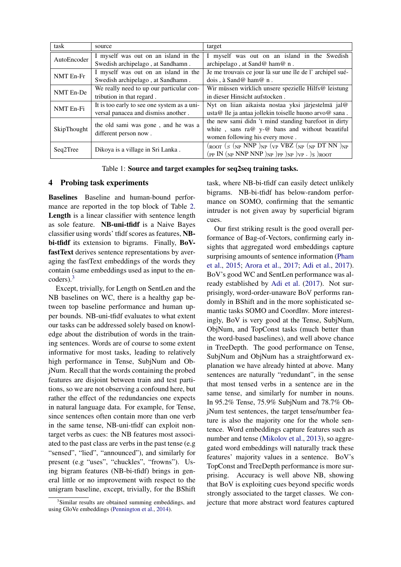| task        | source                                                       | target                                                                                          |  |  |  |  |
|-------------|--------------------------------------------------------------|-------------------------------------------------------------------------------------------------|--|--|--|--|
| AutoEncoder | I myself was out on an island in the                         | I myself was out on an island in the Swedish                                                    |  |  |  |  |
|             | Swedish archipelago, at Sandhamn.                            | archipelago, at Sand@ ham@ n.                                                                   |  |  |  |  |
| NMT En-Fr   | I myself was out on an island in the                         | Je me trouvais ce jour là sur une île de l'archipel sué-                                        |  |  |  |  |
|             | Swedish archipelago, at Sandhamn.                            | dois, à Sand@ ham@ n.                                                                           |  |  |  |  |
| NMT En-De   | We really need to up our particular con-                     | Wir müssen wirklich unsere spezielle Hilfs@ leistung                                            |  |  |  |  |
|             | tribution in that regard.                                    | in dieser Hinsicht aufstocken.                                                                  |  |  |  |  |
|             | It is too early to see one system as a uni-                  | Nyt on liian aikaista nostaa yksi järjestelmä jal@                                              |  |  |  |  |
| NMT En-Fi   | versal panacea and dismiss another.                          | usta@ lle ja antaa jollekin toiselle huono arvo@ sana.                                          |  |  |  |  |
|             |                                                              | the new sami didn't mind standing barefoot in dirty                                             |  |  |  |  |
| SkipThought | the old sami was gone, and he was a<br>different person now. | white, sans ra@ y-@ bans and without beautiful                                                  |  |  |  |  |
|             |                                                              | women following his every move.                                                                 |  |  |  |  |
|             | Dikoya is a village in Sri Lanka.                            | $(\text{root } (S \text{ (NP NNP )} \text{NP} (VP V BZ (NP \text{ (NP DT NN )} \text{NP}$       |  |  |  |  |
| Seq2Tree    |                                                              | $(pP IN (NP NNP NNP)_{NP})_{PP})_{NP}$ ) <sub>NP</sub> ) <sub>NP</sub> . $)S$ ) <sub>ROOT</sub> |  |  |  |  |

<span id="page-4-0"></span>Table 1: Source and target examples for seq2seq training tasks.

# 4 Probing task experiments

Baselines Baseline and human-bound performance are reported in the top block of Table [2.](#page-5-0) Length is a linear classifier with sentence length as sole feature. NB-uni-tfidf is a Naive Bayes classifier using words' tfidf scores as features, NBbi-tfidf its extension to bigrams. Finally, BoVfastText derives sentence representations by averaging the fastText embeddings of the words they contain (same embeddings used as input to the encoders).[3](#page-4-1)

Except, trivially, for Length on SentLen and the NB baselines on WC, there is a healthy gap between top baseline performance and human upper bounds. NB-uni-tfidf evaluates to what extent our tasks can be addressed solely based on knowledge about the distribution of words in the training sentences. Words are of course to some extent informative for most tasks, leading to relatively high performance in Tense, SubjNum and ObjNum. Recall that the words containing the probed features are disjoint between train and test partitions, so we are not observing a confound here, but rather the effect of the redundancies one expects in natural language data. For example, for Tense, since sentences often contain more than one verb in the same tense, NB-uni-tfidf can exploit nontarget verbs as cues: the NB features most associated to the past class are verbs in the past tense (e.g "sensed", "lied", "announced"), and similarly for present (e.g "uses", "chuckles", "frowns"). Using bigram features (NB-bi-tfidf) brings in general little or no improvement with respect to the unigram baseline, except, trivially, for the BShift task, where NB-bi-tfidf can easily detect unlikely bigrams. NB-bi-tfidf has below-random performance on SOMO, confirming that the semantic intruder is not given away by superficial bigram cues.

Our first striking result is the good overall performance of Bag-of-Vectors, confirming early insights that aggregated word embeddings capture surprising amounts of sentence information [\(Pham](#page-10-15) [et al.,](#page-10-15) [2015;](#page-10-15) [Arora et al.,](#page-8-1) [2017;](#page-8-1) [Adi et al.,](#page-8-0) [2017\)](#page-8-0). BoV's good WC and SentLen performance was already established by [Adi et al.](#page-8-0) [\(2017\)](#page-8-0). Not surprisingly, word-order-unaware BoV performs randomly in BShift and in the more sophisticated semantic tasks SOMO and CoordInv. More interestingly, BoV is very good at the Tense, SubjNum, ObjNum, and TopConst tasks (much better than the word-based baselines), and well above chance in TreeDepth. The good performance on Tense, SubjNum and ObjNum has a straightforward explanation we have already hinted at above. Many sentences are naturally "redundant", in the sense that most tensed verbs in a sentence are in the same tense, and similarly for number in nouns. In 95.2% Tense, 75.9% SubjNum and 78.7% ObjNum test sentences, the target tense/number feature is also the majority one for the whole sentence. Word embeddings capture features such as number and tense [\(Mikolov et al.,](#page-10-16) [2013\)](#page-10-16), so aggregated word embeddings will naturally track these features' majority values in a sentence. BoV's TopConst and TreeDepth performance is more surprising. Accuracy is well above NB, showing that BoV is exploiting cues beyond specific words strongly associated to the target classes. We conjecture that more abstract word features captured

<span id="page-4-1"></span><sup>&</sup>lt;sup>3</sup>Similar results are obtained summing embeddings, and using GloVe embeddings [\(Pennington et al.,](#page-10-14) [2014\)](#page-10-14).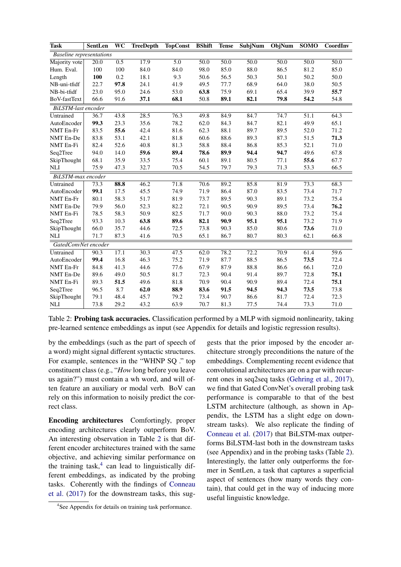| Task                            | SentLen | WC   | <b>TreeDepth</b> | <b>TopConst</b>  | <b>BShift</b> | <b>Tense</b> | SubjNum           | ObjNum | <b>SOMO</b> | CoordInv |
|---------------------------------|---------|------|------------------|------------------|---------------|--------------|-------------------|--------|-------------|----------|
| <b>Baseline</b> representations |         |      |                  |                  |               |              |                   |        |             |          |
| Majority vote                   | 20.0    | 0.5  | 17.9             | $\overline{5.0}$ | 50.0          | 50.0         | 50.0              | 50.0   | 50.0        | 50.0     |
| Hum. Eval.                      | 100     | 100  | 84.0             | 84.0             | 98.0          | 85.0         | 88.0              | 86.5   | 81.2        | 85.0     |
| Length                          | 100     | 0.2  | 18.1             | 9.3              | 50.6          | 56.5         | 50.3              | 50.1   | 50.2        | 50.0     |
| NB-uni-tfidf                    | 22.7    | 97.8 | 24.1             | 41.9             | 49.5          | 77.7         | 68.9              | 64.0   | 38.0        | 50.5     |
| NB-bi-tfidf                     | 23.0    | 95.0 | 24.6             | 53.0             | 63.8          | 75.9         | 69.1              | 65.4   | 39.9        | 55.7     |
| BoV-fastText                    | 66.6    | 91.6 | 37.1             | 68.1             | 50.8          | 89.1         | 82.1              | 79.8   | 54.2        | 54.8     |
| BiLSTM-last encoder             |         |      |                  |                  |               |              |                   |        |             |          |
| Untrained                       | 36.7    | 43.8 | 28.5             | 76.3             | 49.8          | 84.9         | 84.7              | 74.7   | 51.1        | 64.3     |
| AutoEncoder                     | 99.3    | 23.3 | 35.6             | 78.2             | 62.0          | 84.3         | 84.7              | 82.1   | 49.9        | 65.1     |
| NMT En-Fr                       | 83.5    | 55.6 | 42.4             | 81.6             | 62.3          | 88.1         | 89.7              | 89.5   | 52.0        | 71.2     |
| NMT En-De                       | 83.8    | 53.1 | 42.1             | 81.8             | 60.6          | 88.6         | 89.3              | 87.3   | 51.5        | 71.3     |
| NMT En-Fi                       | 82.4    | 52.6 | 40.8             | 81.3             | 58.8          | 88.4         | 86.8              | 85.3   | 52.1        | 71.0     |
| Seq2Tree                        | 94.0    | 14.0 | 59.6             | 89.4             | 78.6          | 89.9         | 94.4              | 94.7   | 49.6        | 67.8     |
| SkipThought                     | 68.1    | 35.9 | 33.5             | 75.4             | 60.1          | 89.1         | 80.5              | 77.1   | 55.6        | 67.7     |
| <b>NLI</b>                      | 75.9    | 47.3 | 32.7             | 70.5             | 54.5          | 79.7         | 79.3              | 71.3   | 53.3        | 66.5     |
| BiLSTM-max encoder              |         |      |                  |                  |               |              |                   |        |             |          |
| Untrained                       | 73.3    | 88.8 | 46.2             | 71.8             | 70.6          | 89.2         | 85.8              | 81.9   | 73.3        | 68.3     |
| AutoEncoder                     | 99.1    | 17.5 | 45.5             | 74.9             | 71.9          | 86.4         | 87.0              | 83.5   | 73.4        | 71.7     |
| NMT En-Fr                       | 80.1    | 58.3 | 51.7             | 81.9             | 73.7          | 89.5         | 90.3              | 89.1   | 73.2        | 75.4     |
| NMT En-De                       | 79.9    | 56.0 | 52.3             | 82.2             | 72.1          | 90.5         | 90.9              | 89.5   | 73.4        | 76.2     |
| NMT En-Fi                       | 78.5    | 58.3 | 50.9             | 82.5             | 71.7          | 90.0         | 90.3              | 88.0   | 73.2        | 75.4     |
| Seq2Tree                        | 93.3    | 10.3 | 63.8             | 89.6             | 82.1          | 90.9         | 95.1              | 95.1   | 73.2        | 71.9     |
| SkipThought                     | 66.0    | 35.7 | 44.6             | 72.5             | 73.8          | 90.3         | 85.0              | 80.6   | 73.6        | 71.0     |
| <b>NLI</b>                      | 71.7    | 87.3 | 41.6             | 70.5             | 65.1          | 86.7         | 80.7              | 80.3   | 62.1        | 66.8     |
| GatedConvNet encoder            |         |      |                  |                  |               |              |                   |        |             |          |
| Untrained                       | 90.3    | 17.1 | 30.3             | 47.5             | 62.0          | 78.2         | $\overline{72.2}$ | 70.9   | 61.4        | 59.6     |
| AutoEncoder                     | 99.4    | 16.8 | 46.3             | 75.2             | 71.9          | 87.7         | 88.5              | 86.5   | 73.5        | 72.4     |
| <b>NMT</b> En-Fr                | 84.8    | 41.3 | 44.6             | 77.6             | 67.9          | 87.9         | 88.8              | 86.6   | 66.1        | 72.0     |
| <b>NMT</b> En-De                | 89.6    | 49.0 | 50.5             | 81.7             | 72.3          | 90.4         | 91.4              | 89.7   | 72.8        | 75.1     |
| NMT En-Fi                       | 89.3    | 51.5 | 49.6             | 81.8             | 70.9          | 90.4         | 90.9              | 89.4   | 72.4        | 75.1     |
| Seq2Tree                        | 96.5    | 8.7  | 62.0             | 88.9             | 83.6          | 91.5         | 94.5              | 94.3   | 73.5        | 73.8     |
| SkipThought                     | 79.1    | 48.4 | 45.7             | 79.2             | 73.4          | 90.7         | 86.6              | 81.7   | 72.4        | 72.3     |
| <b>NLI</b>                      | 73.8    | 29.2 | 43.2             | 63.9             | 70.7          | 81.3         | 77.5              | 74.4   | 73.3        | 71.0     |

<span id="page-5-0"></span>Table 2: **Probing task accuracies.** Classification performed by a MLP with sigmoid nonlinearity, taking pre-learned sentence embeddings as input (see Appendix for details and logistic regression results).

by the embeddings (such as the part of speech of a word) might signal different syntactic structures. For example, sentences in the "WHNP SQ ." top constituent class (e.g., "*How* long before you leave us again?") must contain a wh word, and will often feature an auxiliary or modal verb. BoV can rely on this information to noisily predict the correct class.

Encoding architectures Comfortingly, proper encoding architectures clearly outperform BoV. An interesting observation in Table [2](#page-5-0) is that different encoder architectures trained with the same objective, and achieving similar performance on the training task, $4$  can lead to linguistically different embeddings, as indicated by the probing tasks. Coherently with the findings of [Conneau](#page-9-2) [et al.](#page-9-2) [\(2017\)](#page-9-2) for the downstream tasks, this sug-

gests that the prior imposed by the encoder architecture strongly preconditions the nature of the embeddings. Complementing recent evidence that convolutional architectures are on a par with recurrent ones in seq2seq tasks [\(Gehring et al.,](#page-9-6) [2017\)](#page-9-6), we find that Gated ConvNet's overall probing task performance is comparable to that of the best LSTM architecture (although, as shown in Appendix, the LSTM has a slight edge on downstream tasks). We also replicate the finding of [Conneau et al.](#page-9-2) [\(2017\)](#page-9-2) that BiLSTM-max outperforms BiLSTM-last both in the downstream tasks (see Appendix) and in the probing tasks (Table [2\)](#page-5-0). Interestingly, the latter only outperforms the former in SentLen, a task that captures a superficial aspect of sentences (how many words they contain), that could get in the way of inducing more useful linguistic knowledge.

<span id="page-5-1"></span><sup>&</sup>lt;sup>4</sup>See Appendix for details on training task performance.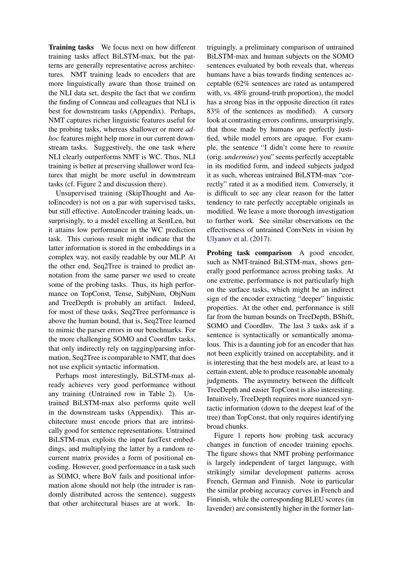Training tasks We focus next on how different training tasks affect BiLSTM-max, but the patterns are generally representative across architectures. NMT training leads to encoders that are more linguistically aware than those trained on the NLI data set, despite the fact that we confirm the finding of Conneau and colleagues that NLI is best for downstream tasks (Appendix). Perhaps, NMT captures richer linguistic features useful for the probing tasks, whereas shallower or more *adhoc* features might help more in our current downstream tasks. Suggestively, the one task where NLI clearly outperforms NMT is WC. Thus, NLI training is better at preserving shallower word features that might be more useful in downstream tasks (cf. Figure [2](#page-8-2) and discussion there).

Unsupervised training (SkipThought and AutoEncoder) is not on a par with supervised tasks, but still effective. AutoEncoder training leads, unsurprisingly, to a model excelling at SentLen, but it attains low performance in the WC prediction task. This curious result might indicate that the latter information is stored in the embeddings in a complex way, not easily readable by our MLP. At the other end, Seq2Tree is trained to predict annotation from the same parser we used to create some of the probing tasks. Thus, its high performance on TopConst, Tense, SubjNum, ObjNum and TreeDepth is probably an artifact. Indeed, for most of these tasks, Seq2Tree performance is above the human bound, that is, Seq2Tree learned to mimic the parser errors in our benchmarks. For the more challenging SOMO and CoordInv tasks, that only indirectly rely on tagging/parsing information, Seq2Tree is comparable to NMT, that does not use explicit syntactic information.

Perhaps most interestingly, BiLSTM-max already achieves very good performance without any training (Untrained row in Table [2\)](#page-5-0). Untrained BiLSTM-max also performs quite well in the downstream tasks (Appendix). This architecture must encode priors that are intrinsically good for sentence representations. Untrained BiLSTM-max exploits the input fastText embeddings, and multiplying the latter by a random recurrent matrix provides a form of positional encoding. However, good performance in a task such as SOMO, where BoV fails and positional information alone should not help (the intruder is randomly distributed across the sentence), suggests that other architectural biases are at work. Intriguingly, a preliminary comparison of untrained BiLSTM-max and human subjects on the SOMO sentences evaluated by both reveals that, whereas humans have a bias towards finding sentences acceptable (62% sentences are rated as untampered with, vs. 48% ground-truth proportion), the model has a strong bias in the opposite direction (it rates 83% of the sentences as modified). A cursory look at contrasting errors confirms, unsurprisingly, that those made by humans are perfectly justified, while model errors are opaque. For example, the sentence "I didn't come here to *reunite* (orig. *undermine*) you" seems perfectly acceptable in its modified form, and indeed subjects judged it as such, whereas untrained BiLSTM-max "correctly" rated it as a modified item. Conversely, it is difficult to see any clear reason for the latter tendency to rate perfectly acceptable originals as modified. We leave a more thorough investigation to further work. See similar observations on the effectiveness of untrained ConvNets in vision by [Ulyanov et al.](#page-10-17) [\(2017\)](#page-10-17).

Probing task comparison A good encoder, such as NMT-trained BiLSTM-max, shows generally good performance across probing tasks. At one extreme, performance is not particularly high on the surface tasks, which might be an indirect sign of the encoder extracting "deeper" linguistic properties. At the other end, performance is still far from the human bounds on TreeDepth, BShift, SOMO and CoordInv. The last 3 tasks ask if a sentence is syntactically or semantically anomalous. This is a daunting job for an encoder that has not been explicitly trained on acceptability, and it is interesting that the best models are, at least to a certain extent, able to produce reasonable anomaly judgments. The asymmetry between the difficult TreeDepth and easier TopConst is also interesting. Intuitively, TreeDepth requires more nuanced syntactic information (down to the deepest leaf of the tree) than TopConst, that only requires identifying broad chunks.

Figure [1](#page-7-1) reports how probing task accuracy changes in function of encoder training epochs. The figure shows that NMT probing performance is largely independent of target language, with strikingly similar development patterns across French, German and Finnish. Note in particular the similar probing accuracy curves in French and Finnish, while the corresponding BLEU scores (in lavender) are consistently higher in the former lan-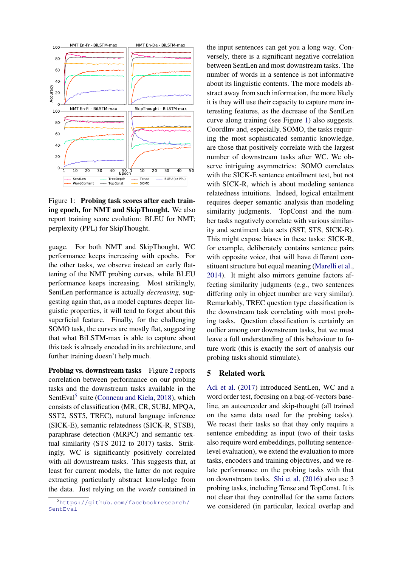

<span id="page-7-1"></span>Figure 1: Probing task scores after each training epoch, for NMT and SkipThought. We also report training score evolution: BLEU for NMT; perplexity (PPL) for SkipThought.

guage. For both NMT and SkipThought, WC performance keeps increasing with epochs. For the other tasks, we observe instead an early flattening of the NMT probing curves, while BLEU performance keeps increasing. Most strikingly, SentLen performance is actually *decreasing*, suggesting again that, as a model captures deeper linguistic properties, it will tend to forget about this superficial feature. Finally, for the challenging SOMO task, the curves are mostly flat, suggesting that what BiLSTM-max is able to capture about this task is already encoded in its architecture, and further training doesn't help much.

Probing vs. downstream tasks Figure [2](#page-8-2) reports correlation between performance on our probing tasks and the downstream tasks available in the SentEval<sup>[5](#page-7-2)</sup> suite [\(Conneau and Kiela,](#page-9-11) [2018\)](#page-9-11), which consists of classification (MR, CR, SUBJ, MPQA, SST2, SST5, TREC), natural language inference (SICK-E), semantic relatedness (SICK-R, STSB), paraphrase detection (MRPC) and semantic textual similarity (STS 2012 to 2017) tasks. Strikingly, WC is significantly positively correlated with all downstream tasks. This suggests that, at least for current models, the latter do not require extracting particularly abstract knowledge from the data. Just relying on the *words* contained in the input sentences can get you a long way. Conversely, there is a significant negative correlation between SentLen and most downstream tasks. The number of words in a sentence is not informative about its linguistic contents. The more models abstract away from such information, the more likely it is they will use their capacity to capture more interesting features, as the decrease of the SentLen curve along training (see Figure [1\)](#page-7-1) also suggests. CoordInv and, especially, SOMO, the tasks requiring the most sophisticated semantic knowledge, are those that positively correlate with the largest number of downstream tasks after WC. We observe intriguing asymmetries: SOMO correlates with the SICK-E sentence entailment test, but not with SICK-R, which is about modeling sentence relatedness intuitions. Indeed, logical entailment requires deeper semantic analysis than modeling similarity judgments. TopConst and the number tasks negatively correlate with various similarity and sentiment data sets (SST, STS, SICK-R). This might expose biases in these tasks: SICK-R, for example, deliberately contains sentence pairs with opposite voice, that will have different constituent structure but equal meaning [\(Marelli et al.,](#page-9-12) [2014\)](#page-9-12). It might also mirrors genuine factors affecting similarity judgments (e.g., two sentences differing only in object number are very similar). Remarkably, TREC question type classification is the downstream task correlating with most probing tasks. Question classification is certainly an outlier among our downstream tasks, but we must leave a full understanding of this behaviour to future work (this is exactly the sort of analysis our probing tasks should stimulate).

# <span id="page-7-0"></span>5 Related work

[Adi et al.](#page-8-0) [\(2017\)](#page-8-0) introduced SentLen, WC and a word order test, focusing on a bag-of-vectors baseline, an autoencoder and skip-thought (all trained on the same data used for the probing tasks). We recast their tasks so that they only require a sentence embedding as input (two of their tasks also require word embeddings, polluting sentencelevel evaluation), we extend the evaluation to more tasks, encoders and training objectives, and we relate performance on the probing tasks with that on downstream tasks. [Shi et al.](#page-10-4) [\(2016\)](#page-10-4) also use 3 probing tasks, including Tense and TopConst. It is not clear that they controlled for the same factors we considered (in particular, lexical overlap and

<span id="page-7-2"></span><sup>5</sup>[https://github.com/facebookresearch/](https://github.com/facebookresearch/SentEval) Sent Eval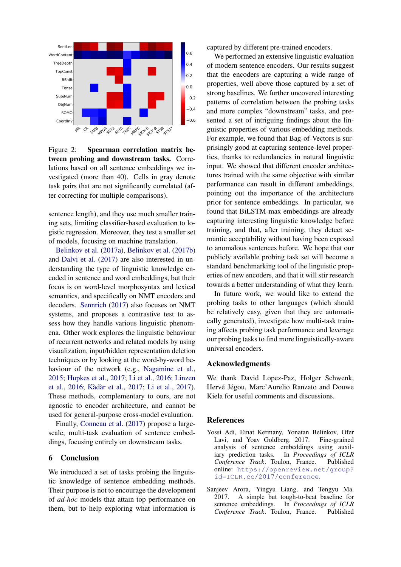

<span id="page-8-2"></span>Figure 2: Spearman correlation matrix between probing and downstream tasks. Correlations based on all sentence embeddings we investigated (more than 40). Cells in gray denote task pairs that are not significantly correlated (after correcting for multiple comparisons).

sentence length), and they use much smaller training sets, limiting classifier-based evaluation to logistic regression. Moreover, they test a smaller set of models, focusing on machine translation.

[Belinkov et al.](#page-9-13) [\(2017a\)](#page-9-13), [Belinkov et al.](#page-9-14) [\(2017b\)](#page-9-14) and [Dalvi et al.](#page-9-15) [\(2017\)](#page-9-15) are also interested in understanding the type of linguistic knowledge encoded in sentence and word embeddings, but their focus is on word-level morphosyntax and lexical semantics, and specifically on NMT encoders and decoders. [Sennrich](#page-10-18) [\(2017\)](#page-10-18) also focuses on NMT systems, and proposes a contrastive test to assess how they handle various linguistic phenomena. Other work explores the linguistic behaviour of recurrent networks and related models by using visualization, input/hidden representation deletion techniques or by looking at the word-by-word behaviour of the network (e.g., [Nagamine et al.,](#page-10-19) [2015;](#page-10-19) [Hupkes et al.,](#page-9-16) [2017;](#page-9-16) [Li et al.,](#page-9-17) [2016;](#page-9-17) [Linzen](#page-9-18) [et al.,](#page-9-18) [2016;](#page-9-18) [Kàdàr et al.,](#page-9-19) [2017;](#page-9-19) [Li et al.,](#page-9-20) [2017\)](#page-9-20). These methods, complementary to ours, are not agnostic to encoder architecture, and cannot be used for general-purpose cross-model evaluation.

Finally, [Conneau et al.](#page-9-2) [\(2017\)](#page-9-2) propose a largescale, multi-task evaluation of sentence embeddings, focusing entirely on downstream tasks.

## 6 Conclusion

We introduced a set of tasks probing the linguistic knowledge of sentence embedding methods. Their purpose is not to encourage the development of *ad-hoc* models that attain top performance on them, but to help exploring what information is captured by different pre-trained encoders.

We performed an extensive linguistic evaluation of modern sentence encoders. Our results suggest that the encoders are capturing a wide range of properties, well above those captured by a set of strong baselines. We further uncovered interesting patterns of correlation between the probing tasks and more complex "downstream" tasks, and presented a set of intriguing findings about the linguistic properties of various embedding methods. For example, we found that Bag-of-Vectors is surprisingly good at capturing sentence-level properties, thanks to redundancies in natural linguistic input. We showed that different encoder architectures trained with the same objective with similar performance can result in different embeddings, pointing out the importance of the architecture prior for sentence embeddings. In particular, we found that BiLSTM-max embeddings are already capturing interesting linguistic knowledge before training, and that, after training, they detect semantic acceptability without having been exposed to anomalous sentences before. We hope that our publicly available probing task set will become a standard benchmarking tool of the linguistic properties of new encoders, and that it will stir research towards a better understanding of what they learn.

In future work, we would like to extend the probing tasks to other languages (which should be relatively easy, given that they are automatically generated), investigate how multi-task training affects probing task performance and leverage our probing tasks to find more linguistically-aware universal encoders.

### Acknowledgments

We thank David Lopez-Paz, Holger Schwenk, Hervé Jégou, Marc'Aurelio Ranzato and Douwe Kiela for useful comments and discussions.

#### References

- <span id="page-8-0"></span>Yossi Adi, Einat Kermany, Yonatan Belinkov, Ofer Lavi, and Yoav Goldberg. 2017. Fine-grained analysis of sentence embeddings using auxiliary prediction tasks. In *Proceedings of ICLR Conference Track*. Toulon, France. Published online: [https://openreview.net/group?](https://openreview.net/group?id=ICLR.cc/2017/conference) [id=ICLR.cc/2017/conference](https://openreview.net/group?id=ICLR.cc/2017/conference).
- <span id="page-8-1"></span>Sanjeev Arora, Yingyu Liang, and Tengyu Ma. 2017. A simple but tough-to-beat baseline for sentence embeddings. In *Proceedings of ICLR Conference Track*. Toulon, France. Published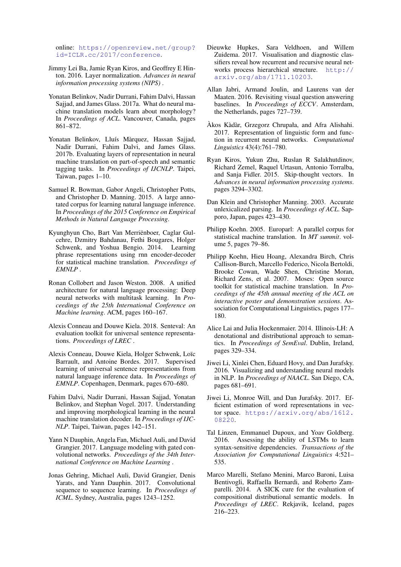online: [https://openreview.net/group?](https://openreview.net/group?id=ICLR.cc/2017/conference) [id=ICLR.cc/2017/conference](https://openreview.net/group?id=ICLR.cc/2017/conference).

- <span id="page-9-22"></span>Jimmy Lei Ba, Jamie Ryan Kiros, and Geoffrey E Hinton. 2016. Layer normalization. *Advances in neural information processing systems (NIPS)* .
- <span id="page-9-13"></span>Yonatan Belinkov, Nadir Durrani, Fahim Dalvi, Hassan Sajjad, and James Glass. 2017a. What do neural machine translation models learn about morphology? In *Proceedings of ACL*. Vancouver, Canada, pages 861–872.
- <span id="page-9-14"></span>Yonatan Belinkov, Lluís Màrquez, Hassan Sajjad, Nadir Durrani, Fahim Dalvi, and James Glass. 2017b. Evaluating layers of representation in neural machine translation on part-of-speech and semantic tagging tasks. In *Proceedings of IJCNLP*. Taipei, Taiwan, pages 1–10.
- <span id="page-9-10"></span>Samuel R. Bowman, Gabor Angeli, Christopher Potts, and Christopher D. Manning. 2015. A large annotated corpus for learning natural language inference. In *Proceedings of the 2015 Conference on Empirical Methods in Natural Language Processing*.
- <span id="page-9-0"></span>Kyunghyun Cho, Bart Van Merriënboer, Caglar Gulcehre, Dzmitry Bahdanau, Fethi Bougares, Holger Schwenk, and Yoshua Bengio. 2014. Learning phrase representations using rnn encoder-decoder for statistical machine translation. *Proceedings of EMNLP* .
- <span id="page-9-8"></span>Ronan Collobert and Jason Weston. 2008. A unified architecture for natural language processing: Deep neural networks with multitask learning. In *Proceedings of the 25th International Conference on Machine learning*. ACM, pages 160–167.
- <span id="page-9-11"></span>Alexis Conneau and Douwe Kiela. 2018. Senteval: An evaluation toolkit for universal sentence representations. *Proceedings of LREC* .
- <span id="page-9-2"></span>Alexis Conneau, Douwe Kiela, Holger Schwenk, Loïc Barrault, and Antoine Bordes. 2017. Supervised learning of universal sentence representations from natural language inference data. In *Proceedings of EMNLP*. Copenhagen, Denmark, pages 670–680.
- <span id="page-9-15"></span>Fahim Dalvi, Nadir Durrani, Hassan Sajjad, Yonatan Belinkov, and Stephan Vogel. 2017. Understanding and improving morphological learning in the neural machine translation decoder. In *Proceedings of IJC-NLP*. Taipei, Taiwan, pages 142–151.
- <span id="page-9-7"></span>Yann N Dauphin, Angela Fan, Michael Auli, and David Grangier. 2017. Language modeling with gated convolutional networks. *Proceedings of the 34th International Conference on Machine Learning* .
- <span id="page-9-6"></span>Jonas Gehring, Michael Auli, David Grangier, Denis Yarats, and Yann Dauphin. 2017. Convolutional sequence to sequence learning. In *Proceedings of ICML*. Sydney, Australia, pages 1243–1252.
- <span id="page-9-16"></span>Dieuwke Hupkes, Sara Veldhoen, and Willem Zuidema. 2017. Visualisation and diagnostic classifiers reveal how recurrent and recursive neural networks process hierarchical structure. [http://](http://arxiv.org/abs/1711.10203) [arxiv.org/abs/1711.10203](http://arxiv.org/abs/1711.10203).
- <span id="page-9-3"></span>Allan Jabri, Armand Joulin, and Laurens van der Maaten. 2016. Revisiting visual question answering baselines. In *Proceedings of ECCV*. Amsterdam, the Netherlands, pages 727–739.
- <span id="page-9-19"></span>Àkos Kàdàr, Grzegorz Chrupała, and Afra Alishahi. 2017. Representation of linguistic form and function in recurrent neural networks. *Computational Linguistics* 43(4):761–780.
- <span id="page-9-1"></span>Ryan Kiros, Yukun Zhu, Ruslan R Salakhutdinov, Richard Zemel, Raquel Urtasun, Antonio Torralba, and Sanja Fidler. 2015. Skip-thought vectors. In *Advances in neural information processing systems*. pages 3294–3302.
- <span id="page-9-5"></span>Dan Klein and Christopher Manning. 2003. Accurate unlexicalized parsing. In *Proceedings of ACL*. Sapporo, Japan, pages 423–430.
- <span id="page-9-9"></span>Philipp Koehn. 2005. Europarl: A parallel corpus for statistical machine translation. In *MT summit*. volume 5, pages 79–86.
- <span id="page-9-21"></span>Philipp Koehn, Hieu Hoang, Alexandra Birch, Chris Callison-Burch, Marcello Federico, Nicola Bertoldi, Brooke Cowan, Wade Shen, Christine Moran, Richard Zens, et al. 2007. Moses: Open source toolkit for statistical machine translation. In *Proceedings of the 45th annual meeting of the ACL on interactive poster and demonstration sessions*. Association for Computational Linguistics, pages 177– 180.
- <span id="page-9-4"></span>Alice Lai and Julia Hockenmaier. 2014. Illinois-LH: A denotational and distributional approach to semantics. In *Proceedings of SemEval*. Dublin, Ireland, pages 329–334.
- <span id="page-9-17"></span>Jiwei Li, Xinlei Chen, Eduard Hovy, and Dan Jurafsky. 2016. Visualizing and understanding neural models in NLP. In *Proceedings of NAACL*. San Diego, CA, pages 681–691.
- <span id="page-9-20"></span>Jiwei Li, Monroe Will, and Dan Jurafsky. 2017. Efficient estimation of word representations in vector space. [https://arxiv.org/abs/1612.](https://arxiv.org/abs/1612.08220) [08220](https://arxiv.org/abs/1612.08220).
- <span id="page-9-18"></span>Tal Linzen, Emmanuel Dupoux, and Yoav Goldberg. 2016. Assessing the ability of LSTMs to learn syntax-sensitive dependencies. *Transactions of the Association for Computational Linguistics* 4:521– 535.
- <span id="page-9-12"></span>Marco Marelli, Stefano Menini, Marco Baroni, Luisa Bentivogli, Raffaella Bernardi, and Roberto Zamparelli. 2014. A SICK cure for the evaluation of compositional distributional semantic models. In *Proceedings of LREC*. Rekjavik, Iceland, pages 216–223.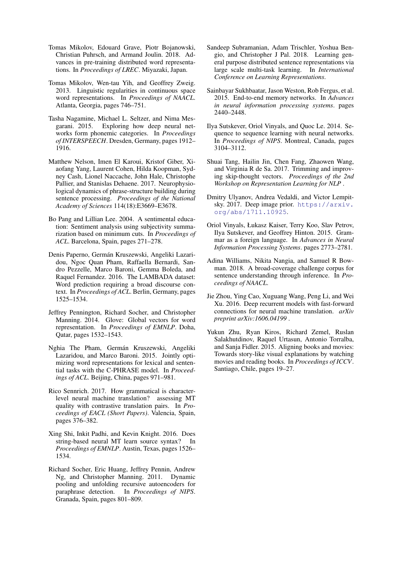- <span id="page-10-13"></span>Tomas Mikolov, Edouard Grave, Piotr Bojanowski, Christian Puhrsch, and Armand Joulin. 2018. Advances in pre-training distributed word representations. In *Proceedings of LREC*. Miyazaki, Japan.
- <span id="page-10-16"></span>Tomas Mikolov, Wen-tau Yih, and Geoffrey Zweig. 2013. Linguistic regularities in continuous space word representations. In *Proceedings of NAACL*. Atlanta, Georgia, pages 746–751.
- <span id="page-10-19"></span>Tasha Nagamine, Michael L. Seltzer, and Nima Mesgarani. 2015. Exploring how deep neural networks form phonemic categories. In *Proceedings of INTERSPEECH*. Dresden, Germany, pages 1912– 1916.
- <span id="page-10-7"></span>Matthew Nelson, Imen El Karoui, Kristof Giber, Xiaofang Yang, Laurent Cohen, Hilda Koopman, Sydney Cash, Lionel Naccache, John Hale, Christophe Pallier, and Stanislas Dehaene. 2017. Neurophysiological dynamics of phrase-structure building during sentence processing. *Proceedings of the National Academy of Sciences* 114(18):E3669–E3678.
- <span id="page-10-3"></span>Bo Pang and Lillian Lee. 2004. A sentimental education: Sentiment analysis using subjectivity summarization based on minimum cuts. In *Proceedings of ACL*. Barcelona, Spain, pages 271–278.
- <span id="page-10-6"></span>Denis Paperno, Germán Kruszewski, Angeliki Lazaridou, Ngoc Quan Pham, Raffaella Bernardi, Sandro Pezzelle, Marco Baroni, Gemma Boleda, and Raquel Fernandez. 2016. The LAMBADA dataset: Word prediction requiring a broad discourse context. In *Proceedings of ACL*. Berlin, Germany, pages 1525–1534.
- <span id="page-10-14"></span>Jeffrey Pennington, Richard Socher, and Christopher Manning. 2014. Glove: Global vectors for word representation. In *Proceedings of EMNLP*. Doha, Qatar, pages 1532–1543.
- <span id="page-10-15"></span>Nghia The Pham, Germán Kruszewski, Angeliki Lazaridou, and Marco Baroni. 2015. Jointly optimizing word representations for lexical and sentential tasks with the C-PHRASE model. In *Proceedings of ACL*. Beijing, China, pages 971–981.
- <span id="page-10-18"></span>Rico Sennrich. 2017. How grammatical is characterlevel neural machine translation? assessing MT quality with contrastive translation pairs. In *Proceedings of EACL (Short Papers)*. Valencia, Spain, pages 376–382.
- <span id="page-10-4"></span>Xing Shi, Inkit Padhi, and Kevin Knight. 2016. Does string-based neural MT learn source syntax? In *Proceedings of EMNLP*. Austin, Texas, pages 1526– 1534.
- <span id="page-10-10"></span>Richard Socher, Eric Huang, Jeffrey Pennin, Andrew Ng, and Christopher Manning. 2011. Dynamic pooling and unfolding recursive autoencoders for paraphrase detection. In *Proceedings of NIPS*. Granada, Spain, pages 801–809.
- <span id="page-10-2"></span>Sandeep Subramanian, Adam Trischler, Yoshua Bengio, and Christopher J Pal. 2018. Learning general purpose distributed sentence representations via large scale multi-task learning. In *International Conference on Learning Representations*.
- <span id="page-10-8"></span>Sainbayar Sukhbaatar, Jason Weston, Rob Fergus, et al. 2015. End-to-end memory networks. In *Advances in neural information processing systems*. pages 2440–2448.
- <span id="page-10-0"></span>Ilya Sutskever, Oriol Vinyals, and Quoc Le. 2014. Sequence to sequence learning with neural networks. In *Proceedings of NIPS*. Montreal, Canada, pages 3104–3112.
- <span id="page-10-12"></span>Shuai Tang, Hailin Jin, Chen Fang, Zhaowen Wang, and Virginia R de Sa. 2017. Trimming and improving skip-thought vectors. *Proceedings of the 2nd Workshop on Representation Learning for NLP* .
- <span id="page-10-17"></span>Dmitry Ulyanov, Andrea Vedaldi, and Victor Lempitsky. 2017. Deep image prior. [https://arxiv.](https://arxiv.org/abs/1711.10925) [org/abs/1711.10925](https://arxiv.org/abs/1711.10925).
- <span id="page-10-11"></span>Oriol Vinyals, Łukasz Kaiser, Terry Koo, Slav Petrov, Ilya Sutskever, and Geoffrey Hinton. 2015. Grammar as a foreign language. In *Advances in Neural Information Processing Systems*. pages 2773–2781.
- <span id="page-10-1"></span>Adina Williams, Nikita Nangia, and Samuel R Bowman. 2018. A broad-coverage challenge corpus for sentence understanding through inference. In *Proceedings of NAACL*.
- <span id="page-10-9"></span>Jie Zhou, Ying Cao, Xuguang Wang, Peng Li, and Wei Xu. 2016. Deep recurrent models with fast-forward connections for neural machine translation. *arXiv preprint arXiv:1606.04199* .
- <span id="page-10-5"></span>Yukun Zhu, Ryan Kiros, Richard Zemel, Ruslan Salakhutdinov, Raquel Urtasun, Antonio Torralba, and Sanja Fidler. 2015. Aligning books and movies: Towards story-like visual explanations by watching movies and reading books. In *Proceedings of ICCV*. Santiago, Chile, pages 19–27.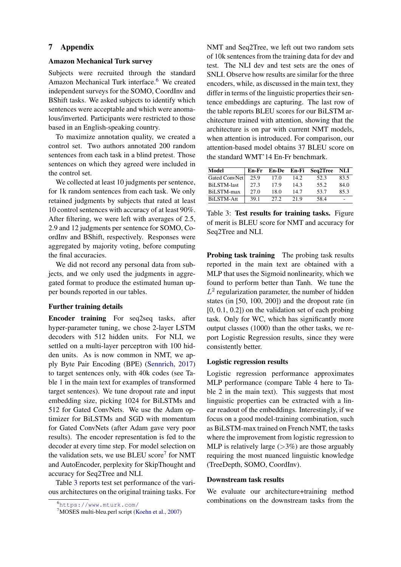# 7 Appendix

# Amazon Mechanical Turk survey

Subjects were recruited through the standard Amazon Mechanical Turk interface.<sup>[6](#page-11-0)</sup> We created independent surveys for the SOMO, CoordInv and BShift tasks. We asked subjects to identify which sentences were acceptable and which were anomalous/inverted. Participants were restricted to those based in an English-speaking country.

To maximize annotation quality, we created a control set. Two authors annotated 200 random sentences from each task in a blind pretest. Those sentences on which they agreed were included in the control set.

We collected at least 10 judgments per sentence, for 1k random sentences from each task. We only retained judgments by subjects that rated at least 10 control sentences with accuracy of at least 90%. After filtering, we were left with averages of 2.5, 2.9 and 12 judgments per sentence for SOMO, CoordInv and BShift, respectively. Responses were aggregated by majority voting, before computing the final accuracies.

We did not record any personal data from subjects, and we only used the judgments in aggregated format to produce the estimated human upper bounds reported in our tables.

### Further training details

Encoder training For seq2seq tasks, after hyper-parameter tuning, we chose 2-layer LSTM decoders with 512 hidden units. For NLI, we settled on a multi-layer perceptron with 100 hidden units. As is now common in NMT, we apply Byte Pair Encoding (BPE) [\(Sennrich,](#page-10-18) [2017\)](#page-10-18) to target sentences only, with 40k codes (see Table 1 in the main text for examples of transformed target sentences). We tune dropout rate and input embedding size, picking 1024 for BiLSTMs and 512 for Gated ConvNets. We use the Adam optimizer for BiLSTMs and SGD with momentum for Gated ConvNets (after Adam gave very poor results). The encoder representation is fed to the decoder at every time step. For model selection on the validation sets, we use BLEU score<sup>[7](#page-11-1)</sup> for NMT and AutoEncoder, perplexity for SkipThought and accuracy for Seq2Tree and NLI.

Table [3](#page-11-2) reports test set performance of the various architectures on the original training tasks. For NMT and Seq2Tree, we left out two random sets of 10k sentences from the training data for dev and test. The NLI dev and test sets are the ones of SNLI. Observe how results are similar for the three encoders, while, as discussed in the main text, they differ in terms of the linguistic properties their sentence embeddings are capturing. The last row of the table reports BLEU scores for our BiLSTM architecture trained with attention, showing that the architecture is on par with current NMT models, when attention is introduced. For comparison, our attention-based model obtains 37 BLEU score on the standard WMT'14 En-Fr benchmark.

| Model              | En-Fr | <b>En-De</b> | En-Fi | Seq2Tree | NLI                      |
|--------------------|-------|--------------|-------|----------|--------------------------|
| Gated ConvNet      | 25.9  | 17.0         | 14.2  | 52.3     | 83.5                     |
| <b>BiLSTM-last</b> | 27.3  | 17.9         | 14.3  | 55.2     | 84.0                     |
| BiLSTM-max         | 27.0  | 18.0         | 14.7  | 53.7     | 85.3                     |
| BiLSTM-Att         | 39.1  | 27.2.        | 21.9  | 58.4     | $\overline{\phantom{a}}$ |

<span id="page-11-2"></span>Table 3: Test results for training tasks. Figure of merit is BLEU score for NMT and accuracy for Seq2Tree and NLI.

Probing task training The probing task results reported in the main text are obtained with a MLP that uses the Sigmoid nonlinearity, which we found to perform better than Tanh. We tune the  $L^2$  regularization parameter, the number of hidden states (in [50, 100, 200]) and the dropout rate (in  $[0, 0.1, 0.2]$  on the validation set of each probing task. Only for WC, which has significantly more output classes (1000) than the other tasks, we report Logistic Regression results, since they were consistently better.

### Logistic regression results

Logistic regression performance approximates MLP performance (compare Table [4](#page-12-0) here to Table 2 in the main text). This suggests that most linguistic properties can be extracted with a linear readout of the embeddings. Interestingly, if we focus on a good model-training combination, such as BiLSTM-max trained on French NMT, the tasks where the improvement from logistic regression to MLP is relatively large  $(>\frac{3\%}{2})$  are those arguably requiring the most nuanced linguistic knowledge (TreeDepth, SOMO, CoordInv).

#### Downstream task results

We evaluate our architecture+training method combinations on the downstream tasks from the

<span id="page-11-0"></span><sup>6</sup><https://www.mturk.com/>

<span id="page-11-1"></span><sup>7</sup>MOSES multi-bleu.perl script [\(Koehn et al.,](#page-9-21) [2007\)](#page-9-21)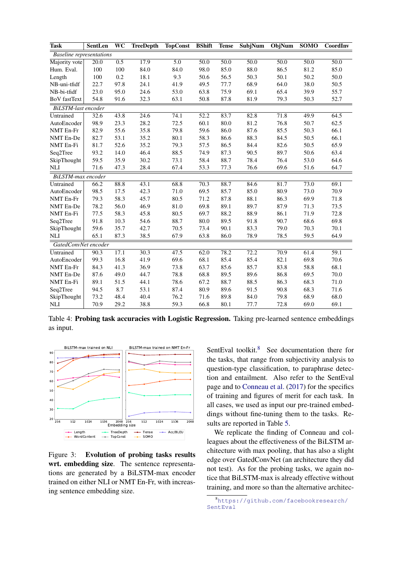| Task                 | SentLen                         | WC   | <b>TreeDepth</b> | <b>TopConst</b> | BShift | <b>Tense</b> | <b>SubjNum</b> | ObjNum | <b>SOMO</b> | CoordInv |
|----------------------|---------------------------------|------|------------------|-----------------|--------|--------------|----------------|--------|-------------|----------|
|                      | <b>Baseline</b> representations |      |                  |                 |        |              |                |        |             |          |
| Majority vote        | 20.0                            | 0.5  | 17.9             | 5.0             | 50.0   | 50.0         | 50.0           | 50.0   | 50.0        | 50.0     |
| Hum. Eval.           | 100                             | 100  | 84.0             | 84.0            | 98.0   | 85.0         | 88.0           | 86.5   | 81.2        | 85.0     |
| Length               | 100                             | 0.2  | 18.1             | 9.3             | 50.6   | 56.5         | 50.3           | 50.1   | 50.2        | 50.0     |
| NB-uni-tfidf         | 22.7                            | 97.8 | 24.1             | 41.9            | 49.5   | 77.7         | 68.9           | 64.0   | 38.0        | 50.5     |
| NB-bi-tfidf          | 23.0                            | 95.0 | 24.6             | 53.0            | 63.8   | 75.9         | 69.1           | 65.4   | 39.9        | 55.7     |
| <b>BoV</b> fastText  | 54.8                            | 91.6 | 32.3             | 63.1            | 50.8   | 87.8         | 81.9           | 79.3   | 50.3        | 52.7     |
| BiLSTM-last encoder  |                                 |      |                  |                 |        |              |                |        |             |          |
| Untrained            | 32.6                            | 43.8 | 24.6             | 74.1            | 52.2   | 83.7         | 82.8           | 71.8   | 49.9        | 64.5     |
| AutoEncoder          | 98.9                            | 23.3 | 28.2             | 72.5            | 60.1   | 80.0         | 81.2           | 76.8   | 50.7        | 62.5     |
| NMT En-Fr            | 82.9                            | 55.6 | 35.8             | 79.8            | 59.6   | 86.0         | 87.6           | 85.5   | 50.3        | 66.1     |
| NMT En-De            | 82.7                            | 53.1 | 35.2             | 80.1            | 58.3   | 86.6         | 88.3           | 84.5   | 50.5        | 66.1     |
| NMT En-Fi            | 81.7                            | 52.6 | 35.2             | 79.3            | 57.5   | 86.5         | 84.4           | 82.6   | 50.5        | 65.9     |
| Seq2Tree             | 93.2                            | 14.0 | 46.4             | 88.5            | 74.9   | 87.3         | 90.5           | 89.7   | 50.6        | 63.4     |
| SkipThought          | 59.5                            | 35.9 | 30.2             | 73.1            | 58.4   | 88.7         | 78.4           | 76.4   | 53.0        | 64.6     |
| <b>NLI</b>           | 71.6                            | 47.3 | 28.4             | 67.4            | 53.3   | 77.3         | 76.6           | 69.6   | 51.6        | 64.7     |
| BiLSTM-max encoder   |                                 |      |                  |                 |        |              |                |        |             |          |
| Untrained            | 66.2                            | 88.8 | 43.1             | 68.8            | 70.3   | 88.7         | 84.6           | 81.7   | 73.0        | 69.1     |
| AutoEncoder          | 98.5                            | 17.5 | 42.3             | 71.0            | 69.5   | 85.7         | 85.0           | 80.9   | 73.0        | 70.9     |
| NMT En-Fr            | 79.3                            | 58.3 | 45.7             | 80.5            | 71.2   | 87.8         | 88.1           | 86.3   | 69.9        | 71.8     |
| NMT En-De            | 78.2                            | 56.0 | 46.9             | 81.0            | 69.8   | 89.1         | 89.7           | 87.9   | 71.3        | 73.5     |
| NMT En-Fi            | 77.5                            | 58.3 | 45.8             | 80.5            | 69.7   | 88.2         | 88.9           | 86.1   | 71.9        | 72.8     |
| Seq2Tree             | 91.8                            | 10.3 | 54.6             | 88.7            | 80.0   | 89.5         | 91.8           | 90.7   | 68.6        | 69.8     |
| SkipThought          | 59.6                            | 35.7 | 42.7             | 70.5            | 73.4   | 90.1         | 83.3           | 79.0   | 70.3        | 70.1     |
| <b>NLI</b>           | 65.1                            | 87.3 | 38.5             | 67.9            | 63.8   | 86.0         | 78.9           | 78.5   | 59.5        | 64.9     |
| GatedConvNet encoder |                                 |      |                  |                 |        |              |                |        |             |          |
| Untrained            | 90.3                            | 17.1 | 30.3             | 47.5            | 62.0   | 78.2         | 72.2           | 70.9   | 61.4        | 59.1     |
| AutoEncoder          | 99.3                            | 16.8 | 41.9             | 69.6            | 68.1   | 85.4         | 85.4           | 82.1   | 69.8        | 70.6     |
| <b>NMT</b> En-Fr     | 84.3                            | 41.3 | 36.9             | 73.8            | 63.7   | 85.6         | 85.7           | 83.8   | 58.8        | 68.1     |
| NMT En-De            | 87.6                            | 49.0 | 44.7             | 78.8            | 68.8   | 89.5         | 89.6           | 86.8   | 69.5        | 70.0     |
| NMT En-Fi            | 89.1                            | 51.5 | 44.1             | 78.6            | 67.2   | 88.7         | 88.5           | 86.3   | 68.3        | 71.0     |
| Seq2Tree             | 94.5                            | 8.7  | 53.1             | 87.4            | 80.9   | 89.6         | 91.5           | 90.8   | 68.3        | 71.6     |
| SkipThought          | 73.2                            | 48.4 | 40.4             | 76.2            | 71.6   | 89.8         | 84.0           | 79.8   | 68.9        | 68.0     |
| <b>NLI</b>           | 70.9                            | 29.2 | 38.8             | 59.3            | 66.8   | 80.1         | 77.7           | 72.8   | 69.0        | 69.1     |

<span id="page-12-0"></span>Table 4: Probing task accuracies with Logistic Regression. Taking pre-learned sentence embeddings as input.



<span id="page-12-2"></span>Figure 3: Evolution of probing tasks results wrt. embedding size. The sentence representations are generated by a BiLSTM-max encoder trained on either NLI or NMT En-Fr, with increasing sentence embedding size.

SentEval toolkit.<sup>[8](#page-12-1)</sup> See documentation there for the tasks, that range from subjectivity analysis to question-type classification, to paraphrase detection and entailment. Also refer to the SentEval page and to [Conneau et al.](#page-9-2) [\(2017\)](#page-9-2) for the specifics of training and figures of merit for each task. In all cases, we used as input our pre-trained embeddings without fine-tuning them to the tasks. Results are reported in Table [5.](#page-13-0)

We replicate the finding of Conneau and colleagues about the effectiveness of the BiLSTM architecture with max pooling, that has also a slight edge over GatedConvNet (an architecture they did not test). As for the probing tasks, we again notice that BiLSTM-max is already effective without training, and more so than the alternative architec-

<span id="page-12-1"></span><sup>8</sup>[https://github.com/facebookresearch/](https://github.com/facebookresearch/SentEval) Sent Eval